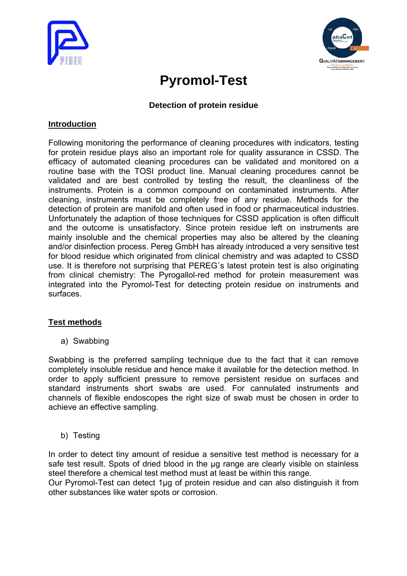



# **Pyromol-Test**

#### **Detection of protein residue**

#### **Introduction**

Following monitoring the performance of cleaning procedures with indicators, testing for protein residue plays also an important role for quality assurance in CSSD. The efficacy of automated cleaning procedures can be validated and monitored on a routine base with the TOSI product line. Manual cleaning procedures cannot be validated and are best controlled by testing the result, the cleanliness of the instruments. Protein is a common compound on contaminated instruments. After cleaning, instruments must be completely free of any residue. Methods for the detection of protein are manifold and often used in food or pharmaceutical industries. Unfortunately the adaption of those techniques for CSSD application is often difficult and the outcome is unsatisfactory. Since protein residue left on instruments are mainly insoluble and the chemical properties may also be altered by the cleaning and/or disinfection process. Pereg GmbH has already introduced a very sensitive test for blood residue which originated from clinical chemistry and was adapted to CSSD use. It is therefore not surprising that PEREG´s latest protein test is also originating from clinical chemistry: The Pyrogallol-red method for protein measurement was integrated into the Pyromol-Test for detecting protein residue on instruments and surfaces.

# **Test methods**

a) Swabbing

Swabbing is the preferred sampling technique due to the fact that it can remove completely insoluble residue and hence make it available for the detection method. In order to apply sufficient pressure to remove persistent residue on surfaces and standard instruments short swabs are used. For cannulated instruments and channels of flexible endoscopes the right size of swab must be chosen in order to achieve an effective sampling.

b) Testing

In order to detect tiny amount of residue a sensitive test method is necessary for a safe test result. Spots of dried blood in the ug range are clearly visible on stainless steel therefore a chemical test method must at least be within this range.

Our Pyromol-Test can detect 1µg of protein residue and can also distinguish it from other substances like water spots or corrosion.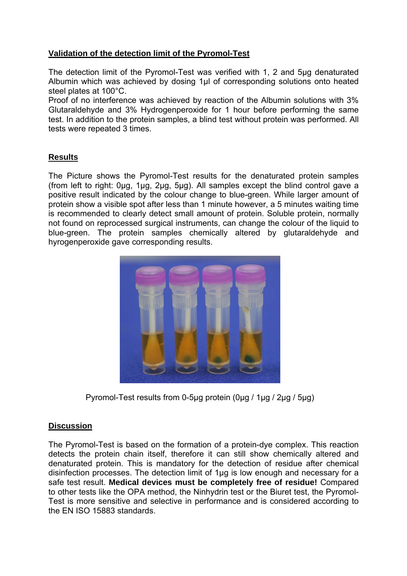# **Validation of the detection limit of the Pyromol-Test**

The detection limit of the Pyromol-Test was verified with 1, 2 and 5µg denaturated Albumin which was achieved by dosing 1µl of corresponding solutions onto heated steel plates at 100°C.

Proof of no interference was achieved by reaction of the Albumin solutions with 3% Glutaraldehyde and 3% Hydrogenperoxide for 1 hour before performing the same test. In addition to the protein samples, a blind test without protein was performed. All tests were repeated 3 times.

# **Results**

The Picture shows the Pyromol-Test results for the denaturated protein samples (from left to right: 0µg, 1µg, 2µg, 5µg). All samples except the blind control gave a positive result indicated by the colour change to blue-green. While larger amount of protein show a visible spot after less than 1 minute however, a 5 minutes waiting time is recommended to clearly detect small amount of protein. Soluble protein, normally not found on reprocessed surgical instruments, can change the colour of the liquid to blue-green. The protein samples chemically altered by glutaraldehyde and hyrogenperoxide gave corresponding results.



Pyromol-Test results from 0-5µg protein (0µg / 1µg / 2µg / 5µg)

# **Discussion**

The Pyromol-Test is based on the formation of a protein-dye complex. This reaction detects the protein chain itself, therefore it can still show chemically altered and denaturated protein. This is mandatory for the detection of residue after chemical disinfection processes. The detection limit of 1µg is low enough and necessary for a safe test result. **Medical devices must be completely free of residue!** Compared to other tests like the OPA method, the Ninhydrin test or the Biuret test, the Pyromol-Test is more sensitive and selective in performance and is considered according to the EN ISO 15883 standards.